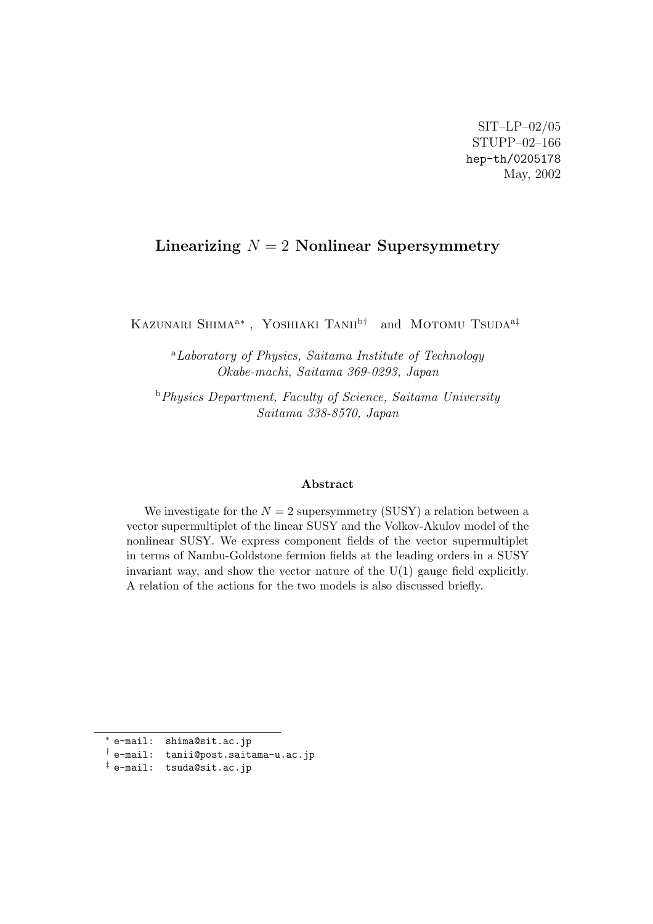## **Linearizing** *N* = 2 **Nonlinear Supersymmetry**

Kazunari Shima<sup>a</sup>*<sup>∗</sup>* , Yoshiaki Tanii<sup>b</sup>*†* and Motomu Tsuda<sup>a</sup>*‡*

<sup>a</sup>*Laboratory of Physics, Saitama Institute of Technology Okabe-machi, Saitama 369-0293, Japan*

<sup>b</sup>*Physics Department, Faculty of Science, Saitama University Saitama 338-8570, Japan*

## **Abstract**

We investigate for the  $N = 2$  supersymmetry (SUSY) a relation between a vector supermultiplet of the linear SUSY and the Volkov-Akulov model of the nonlinear SUSY. We express component fields of the vector supermultiplet in terms of Nambu-Goldstone fermion fields at the leading orders in a SUSY invariant way, and show the vector nature of the U(1) gauge field explicitly. A relation of the actions for the two models is also discussed briefly.

*<sup>∗</sup>* e-mail: shima@sit.ac.jp

*<sup>†</sup>* e-mail: tanii@post.saitama-u.ac.jp

*<sup>‡</sup>* e-mail: tsuda@sit.ac.jp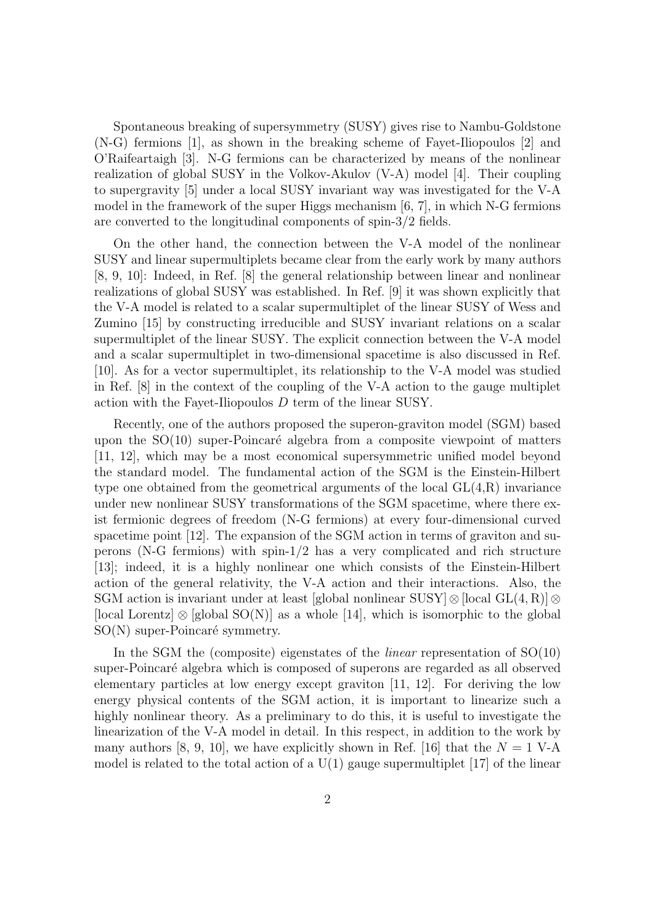Spontaneous breaking of supersymmetry (SUSY) gives rise to Nambu-Goldstone (N-G) fermions [1], as shown in the breaking scheme of Fayet-Iliopoulos [2] and O'Raifeartaigh [3]. N-G fermions can be characterized by means of the nonlinear realization of global SUSY in the Volkov-Akulov (V-A) model [4]. Their coupling to supergravity [5] under a local SUSY invariant way was investigated for the V-A model in the framework of the super Higgs mechanism  $[6, 7]$ , in which N-G fermions are converted to the longitudinal components of spin-3/2 fields.

On the other hand, the connection between the V-A model of the nonlinear SUSY and linear supermultiplets became clear from the early work by many authors [8, 9, 10]: Indeed, in Ref. [8] the general relationship between linear and nonlinear realizations of global SUSY was established. In Ref. [9] it was shown explicitly that the V-A model is related to a scalar supermultiplet of the linear SUSY of Wess and Zumino [15] by constructing irreducible and SUSY invariant relations on a scalar supermultiplet of the linear SUSY. The explicit connection between the V-A model and a scalar supermultiplet in two-dimensional spacetime is also discussed in Ref. [10]. As for a vector supermultiplet, its relationship to the V-A model was studied in Ref. [8] in the context of the coupling of the V-A action to the gauge multiplet action with the Fayet-Iliopoulos *D* term of the linear SUSY.

Recently, one of the authors proposed the superon-graviton model (SGM) based upon the  $SO(10)$  super-Poincaré algebra from a composite viewpoint of matters [11, 12], which may be a most economical supersymmetric unified model beyond the standard model. The fundamental action of the SGM is the Einstein-Hilbert type one obtained from the geometrical arguments of the local  $GL(4,R)$  invariance under new nonlinear SUSY transformations of the SGM spacetime, where there exist fermionic degrees of freedom (N-G fermions) at every four-dimensional curved spacetime point [12]. The expansion of the SGM action in terms of graviton and superons (N-G fermions) with spin-1/2 has a very complicated and rich structure [13]; indeed, it is a highly nonlinear one which consists of the Einstein-Hilbert action of the general relativity, the V-A action and their interactions. Also, the SGM action is invariant under at least [global nonlinear SUSY]*⊗*[local GL(4*,* R)]*⊗* [local Lorentz] *⊗* [global SO(N)] as a whole [14], which is isomorphic to the global  $SO(N)$  super-Poincaré symmetry.

In the SGM the (composite) eigenstates of the *linear* representation of SO(10) super-Poincaré algebra which is composed of superons are regarded as all observed elementary particles at low energy except graviton [11, 12]. For deriving the low energy physical contents of the SGM action, it is important to linearize such a highly nonlinear theory. As a preliminary to do this, it is useful to investigate the linearization of the V-A model in detail. In this respect, in addition to the work by many authors [8, 9, 10], we have explicitly shown in Ref. [16] that the  $N = 1$  V-A model is related to the total action of a  $U(1)$  gauge supermultiplet [17] of the linear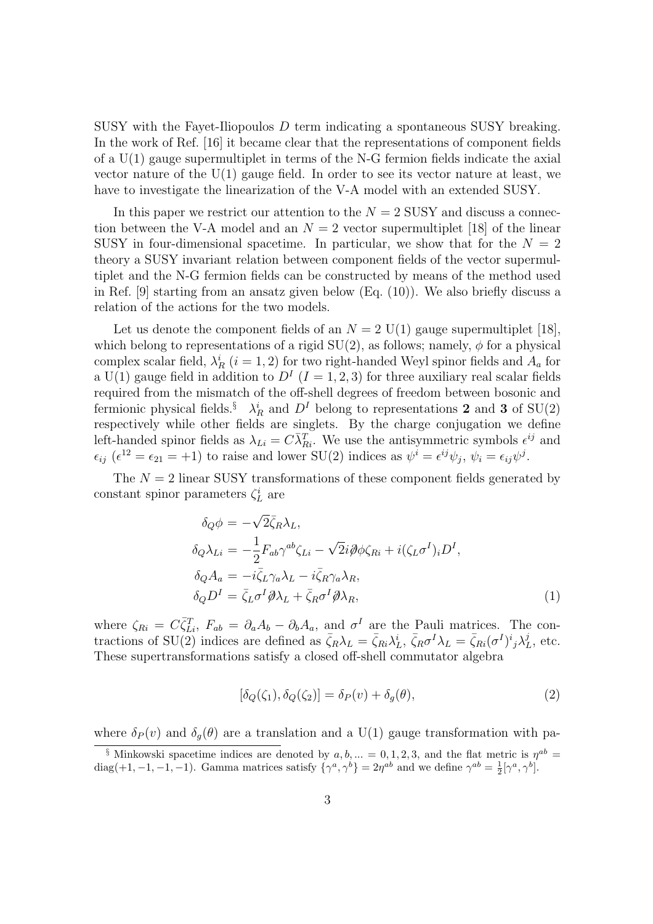SUSY with the Fayet-Iliopoulos *D* term indicating a spontaneous SUSY breaking. In the work of Ref. [16] it became clear that the representations of component fields of a  $U(1)$  gauge supermultiplet in terms of the N-G fermion fields indicate the axial vector nature of the U(1) gauge field. In order to see its vector nature at least, we have to investigate the linearization of the V-A model with an extended SUSY.

In this paper we restrict our attention to the  $N = 2$  SUSY and discuss a connection between the V-A model and an  $N=2$  vector supermultiplet [18] of the linear SUSY in four-dimensional spacetime. In particular, we show that for the  $N = 2$ theory a SUSY invariant relation between component fields of the vector supermultiplet and the N-G fermion fields can be constructed by means of the method used in Ref. [9] starting from an ansatz given below (Eq. (10)). We also briefly discuss a relation of the actions for the two models.

Let us denote the component fields of an  $N = 2$  U(1) gauge supermultiplet [18], which belong to representations of a rigid  $SU(2)$ , as follows; namely,  $\phi$  for a physical complex scalar field,  $\lambda_R^i$  (*i* = 1, 2) for two right-handed Weyl spinor fields and  $A_a$  for a  $U(1)$  gauge field in addition to  $D<sup>I</sup>$   $(I = 1, 2, 3)$  for three auxiliary real scalar fields required from the mismatch of the off-shell degrees of freedom between bosonic and fermionic physical fields.<sup>§</sup>  $\lambda_R^i$  and  $D^I$  belong to representations 2 and 3 of SU(2) respectively while other fields are singlets. By the charge conjugation we define left-handed spinor fields as  $\lambda_{Li} = C \overline{\lambda}_{Ri}^T$ . We use the antisymmetric symbols  $\epsilon^{ij}$  and  $\epsilon_{ij}$  ( $\epsilon^{12} = \epsilon_{21} = +1$ ) to raise and lower SU(2) indices as  $\psi^i = \epsilon^{ij}\psi_j$ ,  $\psi_i = \epsilon_{ij}\psi^j$ .

The  $N = 2$  linear SUSY transformations of these component fields generated by constant spinor parameters  $\zeta_L^i$  are

$$
\delta_Q \phi = -\sqrt{2} \bar{\zeta}_R \lambda_L,
$$
  
\n
$$
\delta_Q \lambda_{Li} = -\frac{1}{2} F_{ab} \gamma^{ab} \zeta_{Li} - \sqrt{2} i \partial \phi \zeta_{Ri} + i(\zeta_L \sigma^I)_i D^I,
$$
  
\n
$$
\delta_Q A_a = -i \bar{\zeta}_L \gamma_a \lambda_L - i \bar{\zeta}_R \gamma_a \lambda_R,
$$
  
\n
$$
\delta_Q D^I = \bar{\zeta}_L \sigma^I \partial \lambda_L + \bar{\zeta}_R \sigma^I \partial \lambda_R,
$$
\n(1)

where  $\zeta_{Ri} = C \bar{\zeta}_{Li}^T$ ,  $F_{ab} = \partial_a A_b - \partial_b A_a$ , and  $\sigma^I$  are the Pauli matrices. The contractions of SU(2) indices are defined as  $\bar{\zeta}_R \lambda_L = \bar{\zeta}_{Ri} \lambda_L^i$ ,  $\bar{\zeta}_R \sigma^I \lambda_L = \bar{\zeta}_{Ri} (\sigma^I)^i{}_j \lambda_I^j$  $_L^j$ , etc. These supertransformations satisfy a closed off-shell commutator algebra

$$
[\delta_Q(\zeta_1), \delta_Q(\zeta_2)] = \delta_P(v) + \delta_g(\theta),\tag{2}
$$

where  $\delta_P(v)$  and  $\delta_q(\theta)$  are a translation and a U(1) gauge transformation with pa-

<sup>&</sup>lt;sup>§</sup> Minkowski spacetime indices are denoted by  $a, b, ... = 0, 1, 2, 3$ , and the flat metric is  $\eta^{ab} =$ diag(+1,-1,-1,-1). Gamma matrices satisfy  $\{\gamma^a, \gamma^b\} = 2\eta^{ab}$  and we define  $\gamma^{ab} = \frac{1}{2}[\gamma^a, \gamma^b]$ .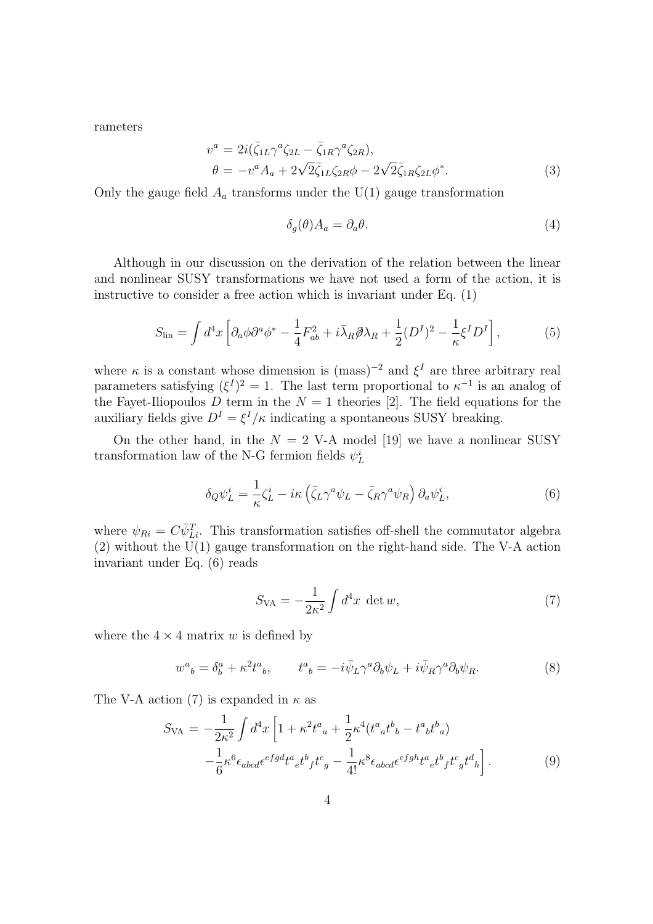rameters

$$
v^{a} = 2i(\bar{\zeta}_{1L}\gamma^{a}\zeta_{2L} - \bar{\zeta}_{1R}\gamma^{a}\zeta_{2R}),
$$
  
\n
$$
\theta = -v^{a}A_{a} + 2\sqrt{2}\bar{\zeta}_{1L}\zeta_{2R}\phi - 2\sqrt{2}\bar{\zeta}_{1R}\zeta_{2L}\phi^{*}.
$$
\n(3)

Only the gauge field  $A_a$  transforms under the  $U(1)$  gauge transformation

$$
\delta_g(\theta) A_a = \partial_a \theta. \tag{4}
$$

Although in our discussion on the derivation of the relation between the linear and nonlinear SUSY transformations we have not used a form of the action, it is instructive to consider a free action which is invariant under Eq. (1)

$$
S_{\rm lin} = \int d^4x \left[ \partial_a \phi \partial^a \phi^* - \frac{1}{4} F_{ab}^2 + i \bar{\lambda}_R \partial \lambda_R + \frac{1}{2} (D^I)^2 - \frac{1}{\kappa} \xi^I D^I \right],\tag{5}
$$

where  $\kappa$  is a constant whose dimension is (mass)<sup>-2</sup> and  $\xi^I$  are three arbitrary real parameters satisfying  $({\xi}^{I})^2 = 1$ . The last term proportional to  $\kappa^{-1}$  is an analog of the Fayet-Iliopoulos  $D$  term in the  $N = 1$  theories [2]. The field equations for the auxiliary fields give  $D^I = \xi^I/\kappa$  indicating a spontaneous SUSY breaking.

On the other hand, in the  $N = 2$  V-A model [19] we have a nonlinear SUSY transformation law of the N-G fermion fields  $\psi^i_L$ 

$$
\delta_Q \psi_L^i = \frac{1}{\kappa} \zeta_L^i - i\kappa \left( \bar{\zeta}_L \gamma^a \psi_L - \bar{\zeta}_R \gamma^a \psi_R \right) \partial_a \psi_L^i, \tag{6}
$$

where  $\psi_{Ri} = C\bar{\psi}_{Li}^T$ . This transformation satisfies off-shell the commutator algebra (2) without the U(1) gauge transformation on the right-hand side. The V-A action invariant under Eq. (6) reads

$$
S_{\text{VA}} = -\frac{1}{2\kappa^2} \int d^4x \, \det w,\tag{7}
$$

where the  $4 \times 4$  matrix *w* is defined by

$$
w^{a}{}_{b} = \delta^{a}_{b} + \kappa^{2} t^{a}{}_{b}, \qquad t^{a}{}_{b} = -i \bar{\psi}_{L} \gamma^{a} \partial_{b} \psi_{L} + i \bar{\psi}_{R} \gamma^{a} \partial_{b} \psi_{R}.
$$
 (8)

The V-A action (7) is expanded in *κ* as

$$
S_{\text{VA}} = -\frac{1}{2\kappa^2} \int d^4x \left[ 1 + \kappa^2 t^a{}_a + \frac{1}{2} \kappa^4 (t^a{}_a t^b{}_b - t^a{}_b t^b{}_a) \right. \\ - \frac{1}{6} \kappa^6 \epsilon_{abcd} \epsilon^{efgd} t^a{}_e t^b{}_f t^c{}_g - \frac{1}{4!} \kappa^8 \epsilon_{abcd} \epsilon^{efgh} t^a{}_e t^b{}_f t^c{}_g t^d{}_h \right]. \tag{9}
$$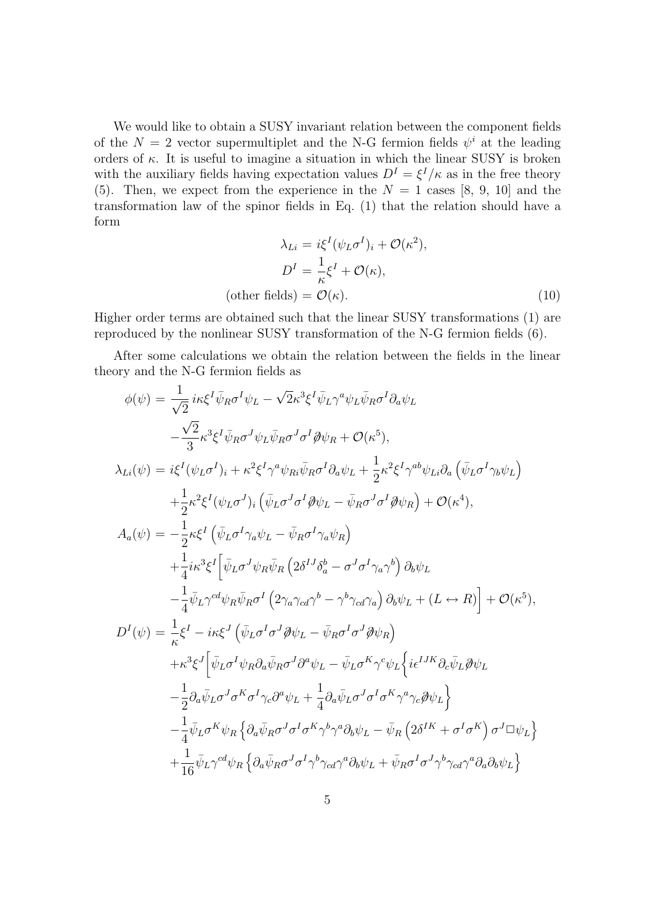We would like to obtain a SUSY invariant relation between the component fields of the  $N = 2$  vector supermultiplet and the N-G fermion fields  $\psi^i$  at the leading orders of  $\kappa$ . It is useful to imagine a situation in which the linear SUSY is broken with the auxiliary fields having expectation values  $D^I = \xi^I/\kappa$  as in the free theory (5). Then, we expect from the experience in the  $N = 1$  cases [8, 9, 10] and the transformation law of the spinor fields in Eq. (1) that the relation should have a form

$$
\lambda_{Li} = i\xi^{I}(\psi_{L}\sigma^{I})_{i} + \mathcal{O}(\kappa^{2}),
$$

$$
D^{I} = \frac{1}{\kappa}\xi^{I} + \mathcal{O}(\kappa),
$$
(other fields) =  $\mathcal{O}(\kappa).$  (10)

Higher order terms are obtained such that the linear SUSY transformations (1) are reproduced by the nonlinear SUSY transformation of the N-G fermion fields (6).

After some calculations we obtain the relation between the fields in the linear theory and the N-G fermion fields as

$$
\phi(\psi) = \frac{1}{\sqrt{2}} i\kappa \xi^{I} \bar{\psi}_{R} \sigma^{I} \psi_{L} - \sqrt{2} \kappa^{3} \xi^{I} \bar{\psi}_{L} \gamma^{a} \psi_{L} \bar{\psi}_{R} \sigma^{I} \partial_{a} \psi_{L}
$$
  
\n
$$
- \frac{\sqrt{2}}{3} \kappa^{3} \xi^{I} \bar{\psi}_{R} \sigma^{J} \psi_{L} \bar{\psi}_{R} \sigma^{J} \sigma^{I} \partial \psi_{R} + \mathcal{O}(\kappa^{5}),
$$
  
\n
$$
\lambda_{Li}(\psi) = i\xi^{I} (\psi_{L} \sigma^{I})_{i} + \kappa^{2} \xi^{I} \gamma^{a} \psi_{R} \bar{\psi}_{R} \sigma^{I} \partial_{a} \psi_{L} + \frac{1}{2} \kappa^{2} \xi^{I} \gamma^{ab} \psi_{Li} \partial_{a} (\bar{\psi}_{L} \sigma^{I} \gamma_{b} \psi_{L})
$$
  
\n
$$
+ \frac{1}{2} \kappa^{2} \xi^{I} (\psi_{L} \sigma^{J})_{i} (\bar{\psi}_{L} \sigma^{J} \sigma^{I} \partial \psi_{L} - \bar{\psi}_{R} \sigma^{J} \sigma^{I} \partial \psi_{R}) + \mathcal{O}(\kappa^{4}),
$$
  
\n
$$
A_{a}(\psi) = -\frac{1}{2} \kappa \xi^{I} (\bar{\psi}_{L} \sigma^{I} \gamma_{a} \psi_{L} - \bar{\psi}_{R} \sigma^{I} \gamma_{a} \psi_{R})
$$
  
\n
$$
+ \frac{1}{4} i\kappa^{3} \xi^{I} [\bar{\psi}_{L} \sigma^{J} \psi_{R} \bar{\psi}_{R} (2 \delta^{IJ} \delta_{a}^{b} - \sigma^{J} \sigma^{I} \gamma_{a} \gamma^{b}) \partial_{b} \psi_{L}
$$
  
\n
$$
- \frac{1}{4} \bar{\psi}_{L} \gamma^{cd} \psi_{R} \bar{\psi}_{R} \sigma^{I} (2 \gamma_{a} \gamma_{a} \gamma^{b} - \gamma^{b} \gamma_{c} \sigma \gamma_{a}) \partial_{b} \psi_{L} + (L \leftrightarrow R) + \mathcal{O}(\kappa^{5}),
$$
  
\n
$$
D^{I}(\psi) = \frac{1}{\kappa} \xi^{I}
$$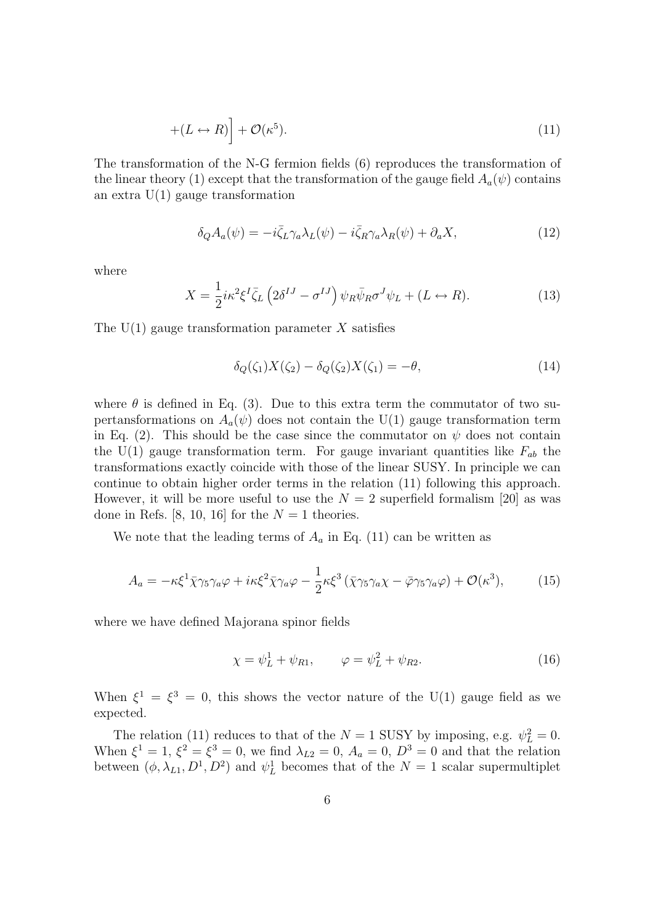$$
+(L \leftrightarrow R)\Big] + \mathcal{O}(\kappa^5). \tag{11}
$$

The transformation of the N-G fermion fields (6) reproduces the transformation of the linear theory (1) except that the transformation of the gauge field  $A_a(\psi)$  contains an extra  $U(1)$  gauge transformation

$$
\delta_Q A_a(\psi) = -i\bar{\zeta}_L \gamma_a \lambda_L(\psi) - i\bar{\zeta}_R \gamma_a \lambda_R(\psi) + \partial_a X,\tag{12}
$$

where

$$
X = \frac{1}{2} i \kappa^2 \xi^I \bar{\zeta}_L \left( 2 \delta^{IJ} - \sigma^{IJ} \right) \psi_R \bar{\psi}_R \sigma^J \psi_L + (L \leftrightarrow R). \tag{13}
$$

The U(1) gauge transformation parameter *X* satisfies

$$
\delta_Q(\zeta_1)X(\zeta_2) - \delta_Q(\zeta_2)X(\zeta_1) = -\theta,\tag{14}
$$

where  $\theta$  is defined in Eq. (3). Due to this extra term the commutator of two supertansformations on  $A_a(\psi)$  does not contain the U(1) gauge transformation term in Eq. (2). This should be the case since the commutator on  $\psi$  does not contain the  $U(1)$  gauge transformation term. For gauge invariant quantities like  $F_{ab}$  the transformations exactly coincide with those of the linear SUSY. In principle we can continue to obtain higher order terms in the relation (11) following this approach. However, it will be more useful to use the  $N = 2$  superfield formalism [20] as was done in Refs. [8, 10, 16] for the  $N=1$  theories.

We note that the leading terms of  $A_a$  in Eq. (11) can be written as

$$
A_a = -\kappa \xi^1 \bar{\chi} \gamma_5 \gamma_a \varphi + i\kappa \xi^2 \bar{\chi} \gamma_a \varphi - \frac{1}{2} \kappa \xi^3 \left( \bar{\chi} \gamma_5 \gamma_a \chi - \bar{\varphi} \gamma_5 \gamma_a \varphi \right) + \mathcal{O}(\kappa^3),\tag{15}
$$

where we have defined Majorana spinor fields

$$
\chi = \psi_L^1 + \psi_{R1}, \qquad \varphi = \psi_L^2 + \psi_{R2}.
$$
 (16)

When  $\xi^1 = \xi^3 = 0$ , this shows the vector nature of the U(1) gauge field as we expected.

The relation (11) reduces to that of the  $N = 1$  SUSY by imposing, e.g.  $\psi_L^2 = 0$ . When  $\xi^1 = 1$ ,  $\xi^2 = \xi^3 = 0$ , we find  $\lambda_{L2} = 0$ ,  $A_a = 0$ ,  $D^3 = 0$  and that the relation between  $(\phi, \lambda_{L1}, D^1, D^2)$  and  $\psi_L^1$  becomes that of the  $N = 1$  scalar supermultiplet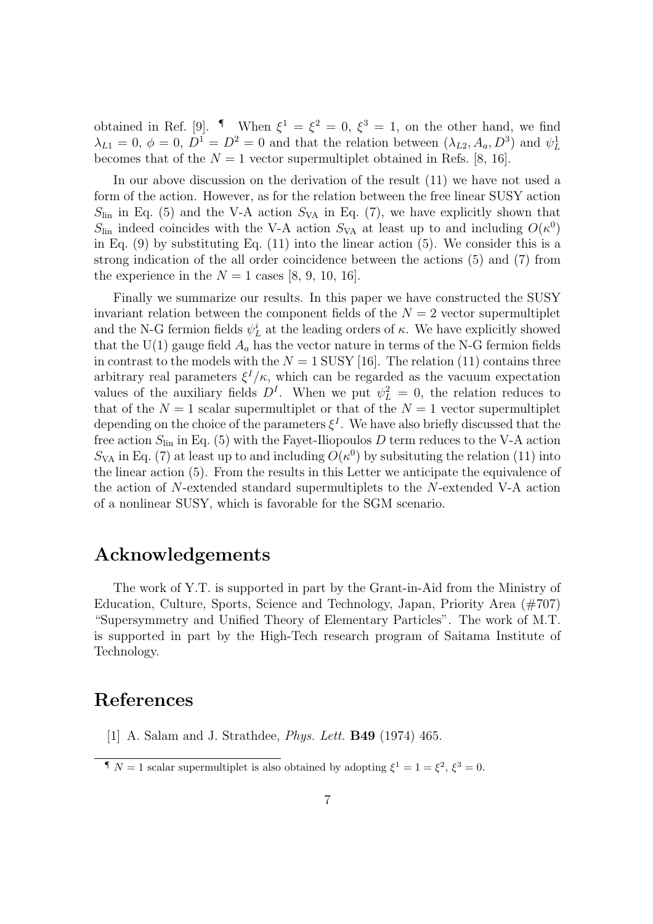obtained in Ref. [9]. <sup>1</sup> When  $\xi^1 = \xi^2 = 0$ ,  $\xi^3 = 1$ , on the other hand, we find  $\lambda_{L1} = 0, \ \phi = 0, \ D^1 = D^2 = 0$  and that the relation between  $(\lambda_{L2}, A_a, D^3)$  and  $\psi_L^1$ becomes that of the  $N = 1$  vector supermultiplet obtained in Refs. [8, 16].

In our above discussion on the derivation of the result (11) we have not used a form of the action. However, as for the relation between the free linear SUSY action  $S_{lin}$  in Eq. (5) and the V-A action  $S_{VA}$  in Eq. (7), we have explicitly shown that  $S_{lin}$  indeed coincides with the V-A action  $S_{VA}$  at least up to and including  $O(\kappa^0)$ in Eq. (9) by substituting Eq. (11) into the linear action (5). We consider this is a strong indication of the all order coincidence between the actions (5) and (7) from the experience in the  $N = 1$  cases [8, 9, 10, 16].

Finally we summarize our results. In this paper we have constructed the SUSY invariant relation between the component fields of the  $N = 2$  vector supermultiplet and the N-G fermion fields  $\psi^i_L$  at the leading orders of  $\kappa$ . We have explicitly showed that the  $U(1)$  gauge field  $A_a$  has the vector nature in terms of the N-G fermion fields in contrast to the models with the  $N = 1$  SUSY [16]. The relation (11) contains three arbitrary real parameters  $\xi^{I}/\kappa$ , which can be regarded as the vacuum expectation values of the auxiliary fields  $D<sup>I</sup>$ . When we put  $\psi_L^2 = 0$ , the relation reduces to that of the  $N = 1$  scalar supermultiplet or that of the  $N = 1$  vector supermultiplet depending on the choice of the parameters  $\xi^I$ . We have also briefly discussed that the free action  $S_{lin}$  in Eq. (5) with the Fayet-Iliopoulos  $D$  term reduces to the V-A action  $S_{VA}$  in Eq. (7) at least up to and including  $O(\kappa^0)$  by subsituting the relation (11) into the linear action (5). From the results in this Letter we anticipate the equivalence of the action of *N*-extended standard supermultiplets to the *N*-extended V-A action of a nonlinear SUSY, which is favorable for the SGM scenario.

## **Acknowledgements**

The work of Y.T. is supported in part by the Grant-in-Aid from the Ministry of Education, Culture, Sports, Science and Technology, Japan, Priority Area (#707) "Supersymmetry and Unified Theory of Elementary Particles". The work of M.T. is supported in part by the High-Tech research program of Saitama Institute of Technology.

## **References**

[1] A. Salam and J. Strathdee, *Phys. Lett.* **B49** (1974) 465.

*I N* = 1 scalar supermultiplet is also obtained by adopting  $\xi^1 = 1 = \xi^2$ ,  $\xi^3 = 0$ .